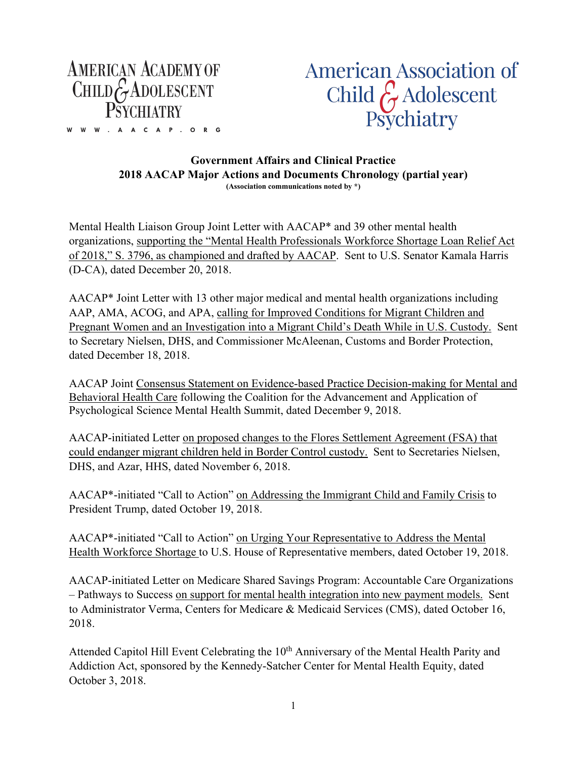

W W W . A A C A P . O R G

**American Association of** Child  $\hat{\zeta}$  Adolescent Psychiatry

## **Government Affairs and Clinical Practice 2018 AACAP Major Actions and Documents Chronology (partial year) (Association communications noted by \*)**

Mental Health Liaison Group Joint Letter with AACAP\* and 39 other mental health organizations, supporting the "Mental Health Professionals Workforce Shortage Loan Relief Act of 2018," S. 3796, as championed and drafted by AACAP. Sent to U.S. Senator Kamala Harris (D-CA), dated December 20, 2018.

AACAP\* Joint Letter with 13 other major medical and mental health organizations including AAP, AMA, ACOG, and APA, calling for Improved Conditions for Migrant Children and Pregnant Women and an Investigation into a Migrant Child's Death While in U.S. Custody. Sent to Secretary Nielsen, DHS, and Commissioner McAleenan, Customs and Border Protection, dated December 18, 2018.

AACAP Joint Consensus Statement on Evidence-based Practice Decision-making for Mental and Behavioral Health Care following the Coalition for the Advancement and Application of Psychological Science Mental Health Summit, dated December 9, 2018.

AACAP-initiated Letter on proposed changes to the Flores Settlement Agreement (FSA) that could endanger migrant children held in Border Control custody. Sent to Secretaries Nielsen, DHS, and Azar, HHS, dated November 6, 2018.

AACAP\*-initiated "Call to Action" on Addressing the Immigrant Child and Family Crisis to President Trump, dated October 19, 2018.

AACAP\*-initiated "Call to Action" on Urging Your Representative to Address the Mental Health Workforce Shortage to U.S. House of Representative members, dated October 19, 2018.

AACAP-initiated Letter on Medicare Shared Savings Program: Accountable Care Organizations – Pathways to Success on support for mental health integration into new payment models. Sent to Administrator Verma, Centers for Medicare & Medicaid Services (CMS), dated October 16, 2018.

Attended Capitol Hill Event Celebrating the 10<sup>th</sup> Anniversary of the Mental Health Parity and Addiction Act, sponsored by the Kennedy-Satcher Center for Mental Health Equity, dated October 3, 2018.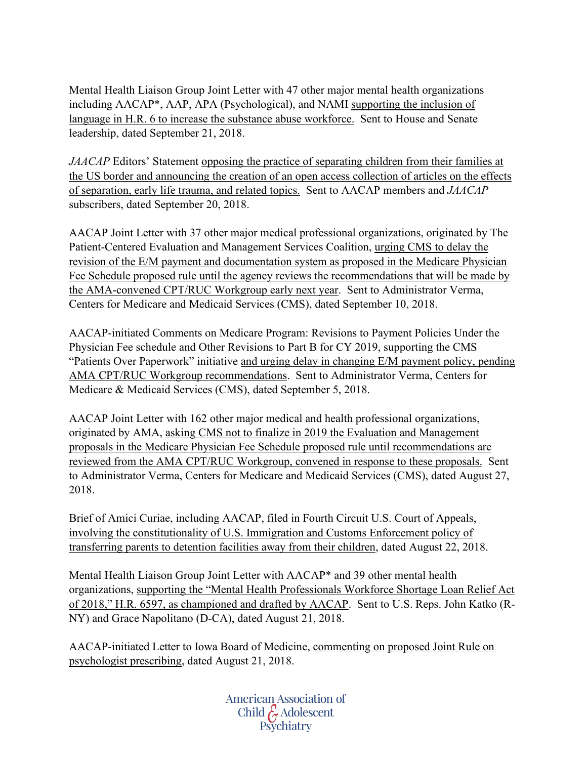Mental Health Liaison Group Joint Letter with 47 other major mental health organizations including AACAP\*, AAP, APA (Psychological), and NAMI supporting the inclusion of language in H.R. 6 to increase the substance abuse workforce. Sent to House and Senate leadership, dated September 21, 2018.

*JAACAP* Editors' Statement opposing the practice of separating children from their families at the US border and announcing the creation of an open access collection of articles on the effects of separation, early life trauma, and related topics. Sent to AACAP members and *JAACAP* subscribers, dated September 20, 2018.

AACAP Joint Letter with 37 other major medical professional organizations, originated by The Patient-Centered Evaluation and Management Services Coalition, urging CMS to delay the revision of the E/M payment and documentation system as proposed in the Medicare Physician Fee Schedule proposed rule until the agency reviews the recommendations that will be made by the AMA-convened CPT/RUC Workgroup early next year. Sent to Administrator Verma, Centers for Medicare and Medicaid Services (CMS), dated September 10, 2018.

AACAP-initiated Comments on Medicare Program: Revisions to Payment Policies Under the Physician Fee schedule and Other Revisions to Part B for CY 2019, supporting the CMS "Patients Over Paperwork" initiative and urging delay in changing E/M payment policy, pending AMA CPT/RUC Workgroup recommendations. Sent to Administrator Verma, Centers for Medicare & Medicaid Services (CMS), dated September 5, 2018.

AACAP Joint Letter with 162 other major medical and health professional organizations, originated by AMA, asking CMS not to finalize in 2019 the Evaluation and Management proposals in the Medicare Physician Fee Schedule proposed rule until recommendations are reviewed from the AMA CPT/RUC Workgroup, convened in response to these proposals. Sent to Administrator Verma, Centers for Medicare and Medicaid Services (CMS), dated August 27, 2018.

Brief of Amici Curiae, including AACAP, filed in Fourth Circuit U.S. Court of Appeals, involving the constitutionality of U.S. Immigration and Customs Enforcement policy of transferring parents to detention facilities away from their children, dated August 22, 2018.

Mental Health Liaison Group Joint Letter with AACAP\* and 39 other mental health organizations, supporting the "Mental Health Professionals Workforce Shortage Loan Relief Act of 2018," H.R. 6597, as championed and drafted by AACAP. Sent to U.S. Reps. John Katko (R-NY) and Grace Napolitano (D-CA), dated August 21, 2018.

AACAP-initiated Letter to Iowa Board of Medicine, commenting on proposed Joint Rule on psychologist prescribing, dated August 21, 2018.

> American Association of Child G Adolescent<br>Psychiatry